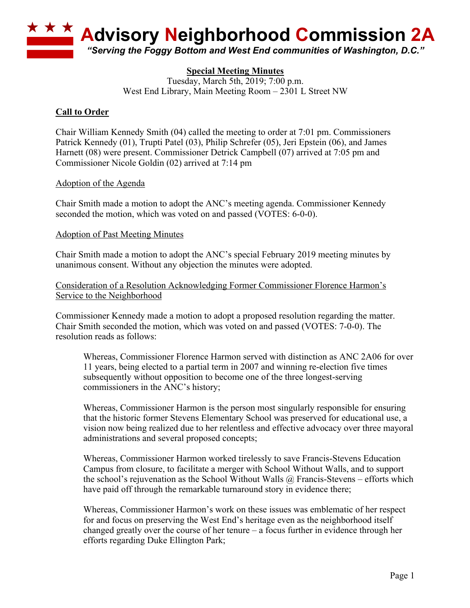

# **Special Meeting Minutes**

Tuesday, March 5th, 2019; 7:00 p.m. West End Library, Main Meeting Room – 2301 L Street NW

# **Call to Order**

Chair William Kennedy Smith (04) called the meeting to order at 7:01 pm. Commissioners Patrick Kennedy (01), Trupti Patel (03), Philip Schrefer (05), Jeri Epstein (06), and James Harnett (08) were present. Commissioner Detrick Campbell (07) arrived at 7:05 pm and Commissioner Nicole Goldin (02) arrived at 7:14 pm

### Adoption of the Agenda

Chair Smith made a motion to adopt the ANC's meeting agenda. Commissioner Kennedy seconded the motion, which was voted on and passed (VOTES: 6-0-0).

### Adoption of Past Meeting Minutes

Chair Smith made a motion to adopt the ANC's special February 2019 meeting minutes by unanimous consent. Without any objection the minutes were adopted.

Consideration of a Resolution Acknowledging Former Commissioner Florence Harmon's Service to the Neighborhood

Commissioner Kennedy made a motion to adopt a proposed resolution regarding the matter. Chair Smith seconded the motion, which was voted on and passed (VOTES: 7-0-0). The resolution reads as follows:

Whereas, Commissioner Florence Harmon served with distinction as ANC 2A06 for over 11 years, being elected to a partial term in 2007 and winning re-election five times subsequently without opposition to become one of the three longest-serving commissioners in the ANC's history;

Whereas, Commissioner Harmon is the person most singularly responsible for ensuring that the historic former Stevens Elementary School was preserved for educational use, a vision now being realized due to her relentless and effective advocacy over three mayoral administrations and several proposed concepts;

Whereas, Commissioner Harmon worked tirelessly to save Francis-Stevens Education Campus from closure, to facilitate a merger with School Without Walls, and to support the school's rejuvenation as the School Without Walls  $\omega$  Francis-Stevens – efforts which have paid off through the remarkable turnaround story in evidence there;

Whereas, Commissioner Harmon's work on these issues was emblematic of her respect for and focus on preserving the West End's heritage even as the neighborhood itself changed greatly over the course of her tenure – a focus further in evidence through her efforts regarding Duke Ellington Park;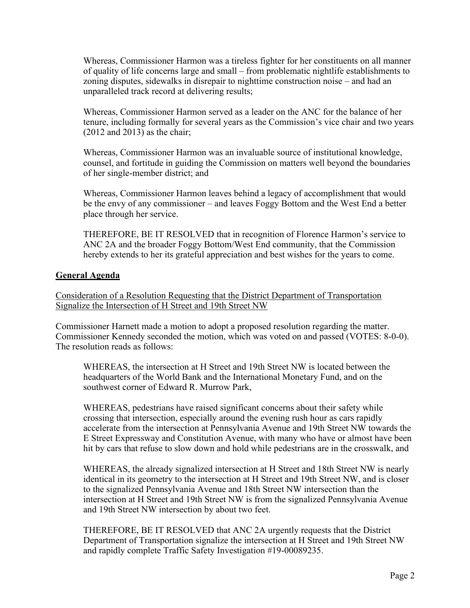Whereas, Commissioner Harmon was a tireless fighter for her constituents on all manner of quality of life concerns large and small – from problematic nightlife establishments to zoning disputes, sidewalks in disrepair to nighttime construction noise – and had an unparalleled track record at delivering results;

Whereas, Commissioner Harmon served as a leader on the ANC for the balance of her tenure, including formally for several years as the Commission's vice chair and two years (2012 and 2013) as the chair;

Whereas, Commissioner Harmon was an invaluable source of institutional knowledge, counsel, and fortitude in guiding the Commission on matters well beyond the boundaries of her single-member district; and

Whereas, Commissioner Harmon leaves behind a legacy of accomplishment that would be the envy of any commissioner – and leaves Foggy Bottom and the West End a better place through her service.

THEREFORE, BE IT RESOLVED that in recognition of Florence Harmon's service to ANC 2A and the broader Foggy Bottom/West End community, that the Commission hereby extends to her its grateful appreciation and best wishes for the years to come.

## **General Agenda**

Consideration of a Resolution Requesting that the District Department of Transportation Signalize the Intersection of H Street and 19th Street NW

Commissioner Harnett made a motion to adopt a proposed resolution regarding the matter. Commissioner Kennedy seconded the motion, which was voted on and passed (VOTES: 8-0-0). The resolution reads as follows:

WHEREAS, the intersection at H Street and 19th Street NW is located between the headquarters of the World Bank and the International Monetary Fund, and on the southwest corner of Edward R. Murrow Park,

WHEREAS, pedestrians have raised significant concerns about their safety while crossing that intersection, especially around the evening rush hour as cars rapidly accelerate from the intersection at Pennsylvania Avenue and 19th Street NW towards the E Street Expressway and Constitution Avenue, with many who have or almost have been hit by cars that refuse to slow down and hold while pedestrians are in the crosswalk, and

WHEREAS, the already signalized intersection at H Street and 18th Street NW is nearly identical in its geometry to the intersection at H Street and 19th Street NW, and is closer to the signalized Pennsylvania Avenue and 18th Street NW intersection than the intersection at H Street and 19th Street NW is from the signalized Pennsylvania Avenue and 19th Street NW intersection by about two feet.

THEREFORE, BE IT RESOLVED that ANC 2A urgently requests that the District Department of Transportation signalize the intersection at H Street and 19th Street NW and rapidly complete Traffic Safety Investigation #19-00089235.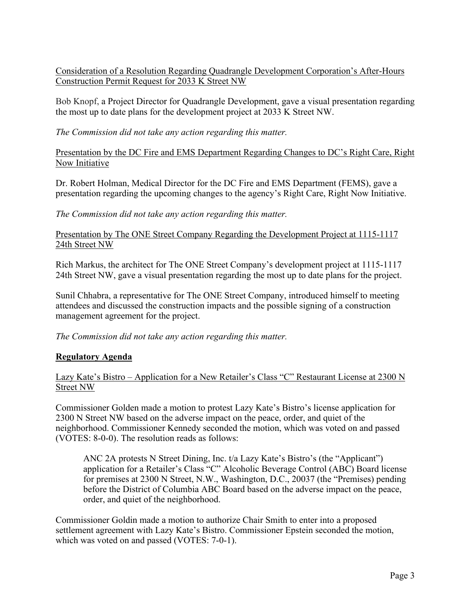Consideration of a Resolution Regarding Quadrangle Development Corporation's After-Hours Construction Permit Request for 2033 K Street NW

Bob Knopf, a Project Director for Quadrangle Development, gave a visual presentation regarding the most up to date plans for the development project at 2033 K Street NW.

*The Commission did not take any action regarding this matter.*

Presentation by the DC Fire and EMS Department Regarding Changes to DC's Right Care, Right Now Initiative

Dr. Robert Holman, Medical Director for the DC Fire and EMS Department (FEMS), gave a presentation regarding the upcoming changes to the agency's Right Care, Right Now Initiative.

*The Commission did not take any action regarding this matter.*

Presentation by The ONE Street Company Regarding the Development Project at 1115-1117 24th Street NW

Rich Markus, the architect for The ONE Street Company's development project at 1115-1117 24th Street NW, gave a visual presentation regarding the most up to date plans for the project.

Sunil Chhabra, a representative for The ONE Street Company, introduced himself to meeting attendees and discussed the construction impacts and the possible signing of a construction management agreement for the project.

*The Commission did not take any action regarding this matter.*

# **Regulatory Agenda**

## Lazy Kate's Bistro – Application for a New Retailer's Class "C" Restaurant License at 2300 N Street NW

Commissioner Golden made a motion to protest Lazy Kate's Bistro's license application for 2300 N Street NW based on the adverse impact on the peace, order, and quiet of the neighborhood. Commissioner Kennedy seconded the motion, which was voted on and passed (VOTES: 8-0-0). The resolution reads as follows:

ANC 2A protests N Street Dining, Inc. t/a Lazy Kate's Bistro's (the "Applicant") application for a Retailer's Class "C" Alcoholic Beverage Control (ABC) Board license for premises at 2300 N Street, N.W., Washington, D.C., 20037 (the "Premises) pending before the District of Columbia ABC Board based on the adverse impact on the peace, order, and quiet of the neighborhood.

Commissioner Goldin made a motion to authorize Chair Smith to enter into a proposed settlement agreement with Lazy Kate's Bistro. Commissioner Epstein seconded the motion, which was voted on and passed (VOTES: 7-0-1).